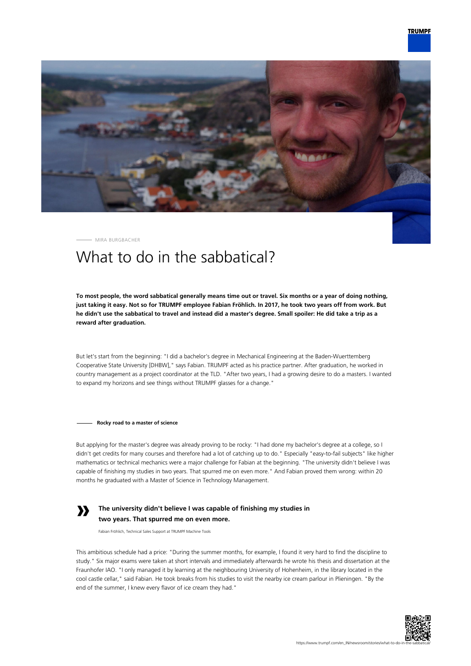

MIRA BURGBACHER

# What to do in the sabbatical?

**To most people, the word sabbatical generally means time out or travel. Six months or a year of doing nothing, just taking it easy. Not so for TRUMPF employee Fabian Fröhlich. In 2017, he took two years off from work. But he didn't use the sabbatical to travel and instead did a master's degree. Small spoiler: He did take a trip as a reward after graduation.**

But let's start from the beginning: "I did a bachelor's degree in Mechanical Engineering at the Baden-Wuerttemberg Cooperative State University [DHBW]," says Fabian. TRUMPF acted as his practice partner. After graduation, he worked in country management as a project coordinator at the TLD. "After two years, I had a growing desire to do a masters. I wanted to expand my horizons and see things without TRUMPF glasses for a change."

**Rocky road to a master of science**

But applying for the master's degree was already proving to be rocky: "I had done my bachelor's degree at a college, so I didn't get credits for many courses and therefore had a lot of catching up to do." Especially "easy-to-fail subjects" like higher mathematics or technical mechanics were a major challenge for Fabian at the beginning. "The university didn't believe I was capable of finishing my studies in two years. That spurred me on even more." And Fabian proved them wrong: within 20 months he graduated with a Master of Science in Technology Management.

## **»**

### **The university didn't believe I was capable of finishing my studies in two years. That spurred me on even more.**

Fabian Fröhlich, Technical Sales Support at TRUMPF Machine Tools

This ambitious schedule had a price: "During the summer months, for example, I found it very hard to find the discipline to study." Six major exams were taken at short intervals and immediately afterwards he wrote his thesis and dissertation at the Fraunhofer IAO. "I only managed it by learning at the neighbouring University of Hohenheim, in the library located in the cool castle cellar," said Fabian. He took breaks from his studies to visit the nearby ice cream parlour in Plieningen. "By the end of the summer, I knew every flavor of ice cream they had."

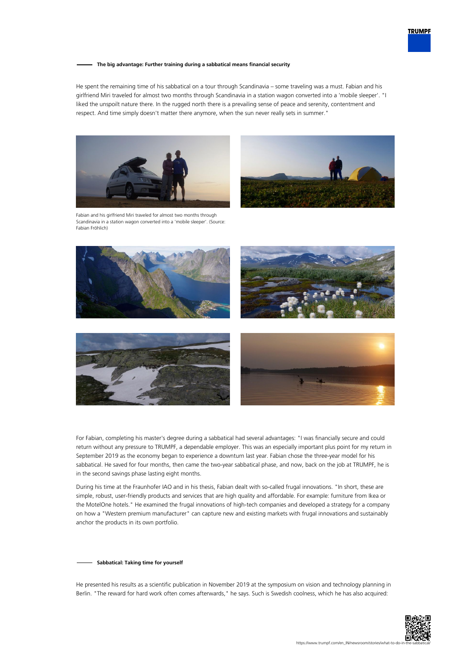

### **The big advantage: Further training during a sabbatical means financial security**

He spent the remaining time of his sabbatical on a tour through Scandinavia – some traveling was a must. Fabian and his girlfriend Miri traveled for almost two months through Scandinavia in a station wagon converted into a 'mobile sleeper'. "I liked the unspoilt nature there. In the rugged north there is a prevailing sense of peace and serenity, contentment and respect. And time simply doesn't matter there anymore, when the sun never really sets in summer."



Fabian and his girlfriend Miri traveled for almost two months through Scandinavia in a station wagon converted into a 'mobile sleeper'. (Source: Fabian Fröhlich)









For Fabian, completing his master's degree during a sabbatical had several advantages: "I was financially secure and could return without any pressure to TRUMPF, a dependable employer. This was an especially important plus point for my return in September 2019 as the economy began to experience a downturn last year. Fabian chose the three-year model for his sabbatical. He saved for four months, then came the two-year sabbatical phase, and now, back on the job at TRUMPF, he is in the second savings phase lasting eight months.

During his time at the Fraunhofer IAO and in his thesis, Fabian dealt with so-called frugal innovations. "In short, these are simple, robust, user-friendly products and services that are high quality and affordable. For example: furniture from Ikea or the MotelOne hotels." He examined the frugal innovations of high-tech companies and developed a strategy for a company on how a "Western premium manufacturer" can capture new and existing markets with frugal innovations and sustainably anchor the products in its own portfolio.

#### **Sabbatical: Taking time for yourself**

He presented his results as a scientific publication in November 2019 at the symposium on vision and technology planning in Berlin. "The reward for hard work often comes afterwards," he says. Such is Swedish coolness, which he has also acquired: